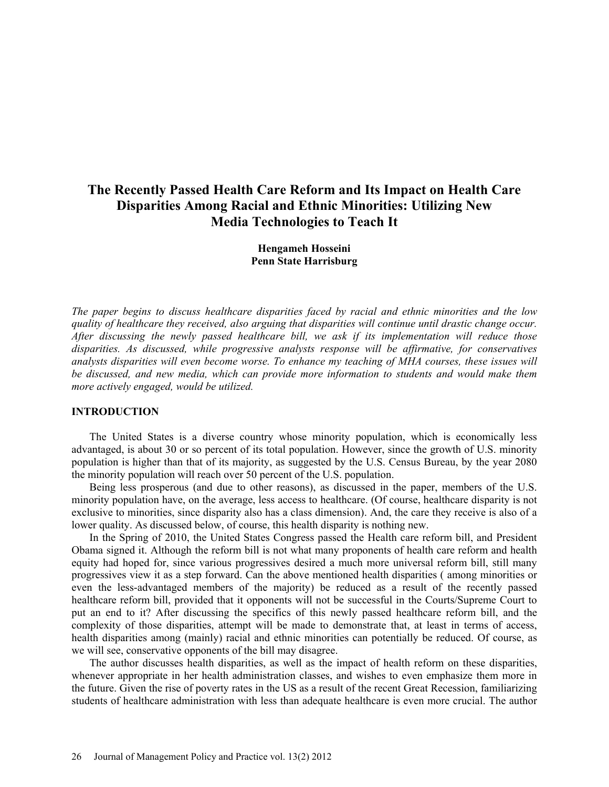# **The Recently Passed Health Care Reform and Its Impact on Health Care Disparities Among Racial and Ethnic Minorities: Utilizing New Media Technologies to Teach It**

**Hengameh Hosseini Penn State Harrisburg**

*The paper begins to discuss healthcare disparities faced by racial and ethnic minorities and the low quality of healthcare they received, also arguing that disparities will continue until drastic change occur. After discussing the newly passed healthcare bill, we ask if its implementation will reduce those disparities. As discussed, while progressive analysts response will be affirmative, for conservatives analysts disparities will even become worse. To enhance my teaching of MHA courses, these issues will be discussed, and new media, which can provide more information to students and would make them more actively engaged, would be utilized.*

### **INTRODUCTION**

The United States is a diverse country whose minority population, which is economically less advantaged, is about 30 or so percent of its total population. However, since the growth of U.S. minority population is higher than that of its majority, as suggested by the U.S. Census Bureau, by the year 2080 the minority population will reach over 50 percent of the U.S. population.

Being less prosperous (and due to other reasons), as discussed in the paper, members of the U.S. minority population have, on the average, less access to healthcare. (Of course, healthcare disparity is not exclusive to minorities, since disparity also has a class dimension). And, the care they receive is also of a lower quality. As discussed below, of course, this health disparity is nothing new.

In the Spring of 2010, the United States Congress passed the Health care reform bill, and President Obama signed it. Although the reform bill is not what many proponents of health care reform and health equity had hoped for, since various progressives desired a much more universal reform bill, still many progressives view it as a step forward. Can the above mentioned health disparities ( among minorities or even the less-advantaged members of the majority) be reduced as a result of the recently passed healthcare reform bill, provided that it opponents will not be successful in the Courts/Supreme Court to put an end to it? After discussing the specifics of this newly passed healthcare reform bill, and the complexity of those disparities, attempt will be made to demonstrate that, at least in terms of access, health disparities among (mainly) racial and ethnic minorities can potentially be reduced. Of course, as we will see, conservative opponents of the bill may disagree.

The author discusses health disparities, as well as the impact of health reform on these disparities, whenever appropriate in her health administration classes, and wishes to even emphasize them more in the future. Given the rise of poverty rates in the US as a result of the recent Great Recession, familiarizing students of healthcare administration with less than adequate healthcare is even more crucial. The author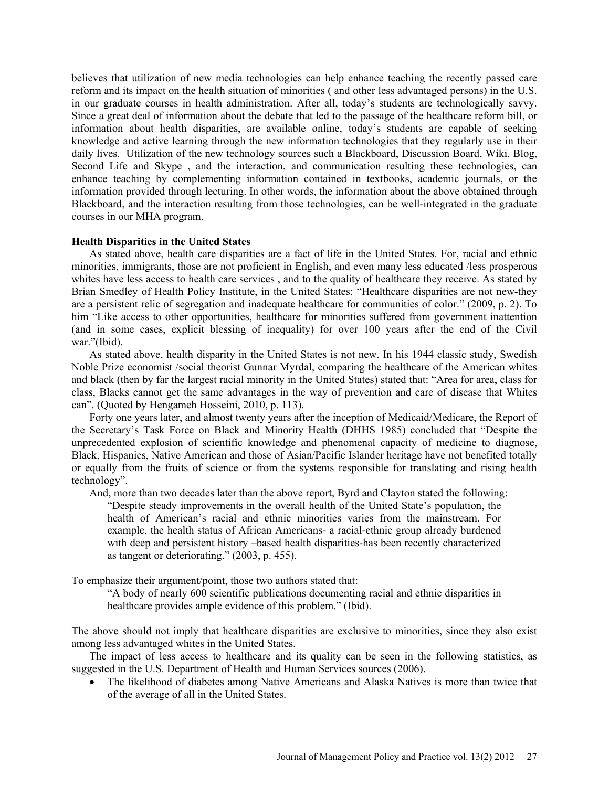believes that utilization of new media technologies can help enhance teaching the recently passed care reform and its impact on the health situation of minorities ( and other less advantaged persons) in the U.S. in our graduate courses in health administration. After all, today's students are technologically savvy. Since a great deal of information about the debate that led to the passage of the healthcare reform bill, or information about health disparities, are available online, today's students are capable of seeking knowledge and active learning through the new information technologies that they regularly use in their daily lives. Utilization of the new technology sources such a Blackboard, Discussion Board, Wiki, Blog, Second Life and Skype , and the interaction, and communication resulting these technologies, can enhance teaching by complementing information contained in textbooks, academic journals, or the information provided through lecturing. In other words, the information about the above obtained through Blackboard, and the interaction resulting from those technologies, can be well-integrated in the graduate courses in our MHA program.

### **Health Disparities in the United States**

As stated above, health care disparities are a fact of life in the United States. For, racial and ethnic minorities, immigrants, those are not proficient in English, and even many less educated /less prosperous whites have less access to health care services, and to the quality of healthcare they receive. As stated by Brian Smedley of Health Policy Institute, in the United States: "Healthcare disparities are not new-they are a persistent relic of segregation and inadequate healthcare for communities of color." (2009, p. 2). To him "Like access to other opportunities, healthcare for minorities suffered from government inattention (and in some cases, explicit blessing of inequality) for over 100 years after the end of the Civil war."(Ibid).

As stated above, health disparity in the United States is not new. In his 1944 classic study, Swedish Noble Prize economist /social theorist Gunnar Myrdal, comparing the healthcare of the American whites and black (then by far the largest racial minority in the United States) stated that: "Area for area, class for class, Blacks cannot get the same advantages in the way of prevention and care of disease that Whites can". (Quoted by Hengameh Hosseini, 2010, p. 113).

Forty one years later, and almost twenty years after the inception of Medicaid/Medicare, the Report of the Secretary's Task Force on Black and Minority Health (DHHS 1985) concluded that "Despite the unprecedented explosion of scientific knowledge and phenomenal capacity of medicine to diagnose, Black, Hispanics, Native American and those of Asian/Pacific Islander heritage have not benefited totally or equally from the fruits of science or from the systems responsible for translating and rising health technology".

And, more than two decades later than the above report, Byrd and Clayton stated the following: "Despite steady improvements in the overall health of the United State's population, the health of American's racial and ethnic minorities varies from the mainstream. For example, the health status of African Americans- a racial-ethnic group already burdened with deep and persistent history –based health disparities-has been recently characterized as tangent or deteriorating." (2003, p. 455).

To emphasize their argument/point, those two authors stated that:

"A body of nearly 600 scientific publications documenting racial and ethnic disparities in healthcare provides ample evidence of this problem." (Ibid).

The above should not imply that healthcare disparities are exclusive to minorities, since they also exist among less advantaged whites in the United States.

The impact of less access to healthcare and its quality can be seen in the following statistics, as suggested in the U.S. Department of Health and Human Services sources (2006).

• The likelihood of diabetes among Native Americans and Alaska Natives is more than twice that of the average of all in the United States.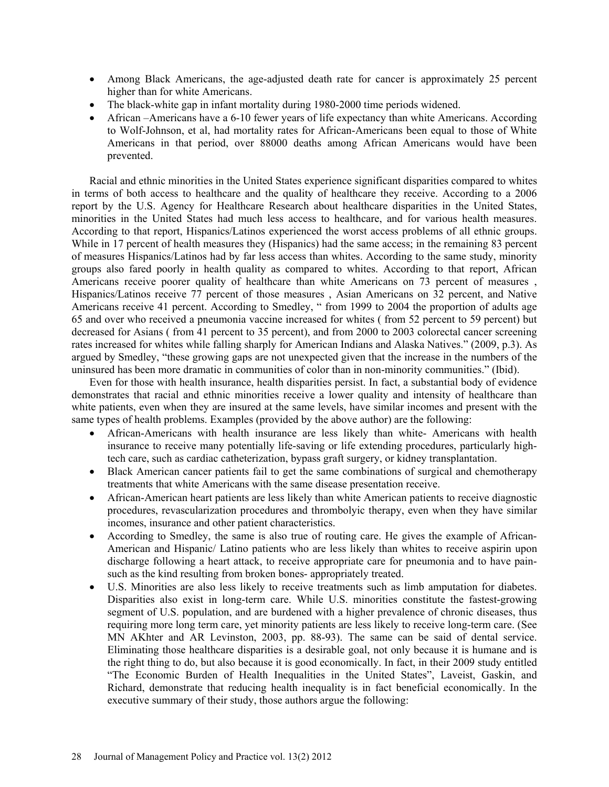- Among Black Americans, the age-adjusted death rate for cancer is approximately 25 percent higher than for white Americans.
- The black-white gap in infant mortality during 1980-2000 time periods widened.
- African –Americans have a 6-10 fewer years of life expectancy than white Americans. According to Wolf-Johnson, et al, had mortality rates for African-Americans been equal to those of White Americans in that period, over 88000 deaths among African Americans would have been prevented.

Racial and ethnic minorities in the United States experience significant disparities compared to whites in terms of both access to healthcare and the quality of healthcare they receive. According to a 2006 report by the U.S. Agency for Healthcare Research about healthcare disparities in the United States, minorities in the United States had much less access to healthcare, and for various health measures. According to that report, Hispanics/Latinos experienced the worst access problems of all ethnic groups. While in 17 percent of health measures they (Hispanics) had the same access; in the remaining 83 percent of measures Hispanics/Latinos had by far less access than whites. According to the same study, minority groups also fared poorly in health quality as compared to whites. According to that report, African Americans receive poorer quality of healthcare than white Americans on 73 percent of measures , Hispanics/Latinos receive 77 percent of those measures , Asian Americans on 32 percent, and Native Americans receive 41 percent. According to Smedley, " from 1999 to 2004 the proportion of adults age 65 and over who received a pneumonia vaccine increased for whites ( from 52 percent to 59 percent) but decreased for Asians ( from 41 percent to 35 percent), and from 2000 to 2003 colorectal cancer screening rates increased for whites while falling sharply for American Indians and Alaska Natives." (2009, p.3). As argued by Smedley, "these growing gaps are not unexpected given that the increase in the numbers of the uninsured has been more dramatic in communities of color than in non-minority communities." (Ibid).

Even for those with health insurance, health disparities persist. In fact, a substantial body of evidence demonstrates that racial and ethnic minorities receive a lower quality and intensity of healthcare than white patients, even when they are insured at the same levels, have similar incomes and present with the same types of health problems. Examples (provided by the above author) are the following:

- African-Americans with health insurance are less likely than white- Americans with health insurance to receive many potentially life-saving or life extending procedures, particularly hightech care, such as cardiac catheterization, bypass graft surgery, or kidney transplantation.
- Black American cancer patients fail to get the same combinations of surgical and chemotherapy treatments that white Americans with the same disease presentation receive.
- African-American heart patients are less likely than white American patients to receive diagnostic procedures, revascularization procedures and thrombolyic therapy, even when they have similar incomes, insurance and other patient characteristics.
- According to Smedley, the same is also true of routing care. He gives the example of African-American and Hispanic/ Latino patients who are less likely than whites to receive aspirin upon discharge following a heart attack, to receive appropriate care for pneumonia and to have painsuch as the kind resulting from broken bones- appropriately treated.
- U.S. Minorities are also less likely to receive treatments such as limb amputation for diabetes. Disparities also exist in long-term care. While U.S. minorities constitute the fastest-growing segment of U.S. population, and are burdened with a higher prevalence of chronic diseases, thus requiring more long term care, yet minority patients are less likely to receive long-term care. (See MN AKhter and AR Levinston, 2003, pp. 88-93). The same can be said of dental service. Eliminating those healthcare disparities is a desirable goal, not only because it is humane and is the right thing to do, but also because it is good economically. In fact, in their 2009 study entitled "The Economic Burden of Health Inequalities in the United States", Laveist, Gaskin, and Richard, demonstrate that reducing health inequality is in fact beneficial economically. In the executive summary of their study, those authors argue the following: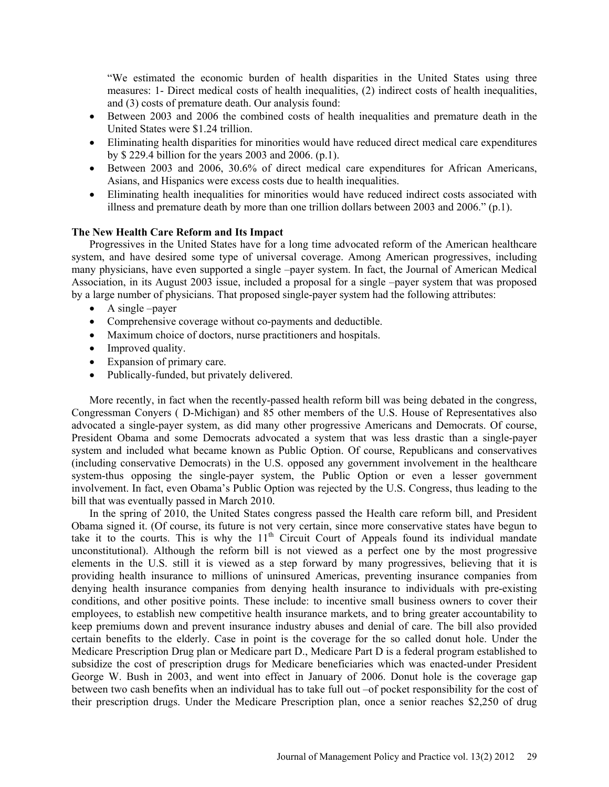"We estimated the economic burden of health disparities in the United States using three measures: 1- Direct medical costs of health inequalities, (2) indirect costs of health inequalities, and (3) costs of premature death. Our analysis found:

- Between 2003 and 2006 the combined costs of health inequalities and premature death in the United States were \$1.24 trillion.
- Eliminating health disparities for minorities would have reduced direct medical care expenditures by \$ 229.4 billion for the years 2003 and 2006. (p.1).
- Between 2003 and 2006, 30.6% of direct medical care expenditures for African Americans, Asians, and Hispanics were excess costs due to health inequalities.
- Eliminating health inequalities for minorities would have reduced indirect costs associated with illness and premature death by more than one trillion dollars between 2003 and 2006." (p.1).

# **The New Health Care Reform and Its Impact**

Progressives in the United States have for a long time advocated reform of the American healthcare system, and have desired some type of universal coverage. Among American progressives, including many physicians, have even supported a single –payer system. In fact, the Journal of American Medical Association, in its August 2003 issue, included a proposal for a single –payer system that was proposed by a large number of physicians. That proposed single-payer system had the following attributes:

- A single –payer
- Comprehensive coverage without co-payments and deductible.
- Maximum choice of doctors, nurse practitioners and hospitals.
- Improved quality.
- Expansion of primary care.
- Publically-funded, but privately delivered.

More recently, in fact when the recently-passed health reform bill was being debated in the congress, Congressman Conyers ( D-Michigan) and 85 other members of the U.S. House of Representatives also advocated a single-payer system, as did many other progressive Americans and Democrats. Of course, President Obama and some Democrats advocated a system that was less drastic than a single-payer system and included what became known as Public Option. Of course, Republicans and conservatives (including conservative Democrats) in the U.S. opposed any government involvement in the healthcare system-thus opposing the single-payer system, the Public Option or even a lesser government involvement. In fact, even Obama's Public Option was rejected by the U.S. Congress, thus leading to the bill that was eventually passed in March 2010.

In the spring of 2010, the United States congress passed the Health care reform bill, and President Obama signed it. (Of course, its future is not very certain, since more conservative states have begun to take it to the courts. This is why the  $11<sup>th</sup>$  Circuit Court of Appeals found its individual mandate unconstitutional). Although the reform bill is not viewed as a perfect one by the most progressive elements in the U.S. still it is viewed as a step forward by many progressives, believing that it is providing health insurance to millions of uninsured Americas, preventing insurance companies from denying health insurance companies from denying health insurance to individuals with pre-existing conditions, and other positive points. These include: to incentive small business owners to cover their employees, to establish new competitive health insurance markets, and to bring greater accountability to keep premiums down and prevent insurance industry abuses and denial of care. The bill also provided certain benefits to the elderly. Case in point is the coverage for the so called donut hole. Under the Medicare Prescription Drug plan or Medicare part D., Medicare Part D is a federal program established to subsidize the cost of prescription drugs for Medicare beneficiaries which was enacted-under President George W. Bush in 2003, and went into effect in January of 2006. Donut hole is the coverage gap between two cash benefits when an individual has to take full out –of pocket responsibility for the cost of their prescription drugs. Under the Medicare Prescription plan, once a senior reaches \$2,250 of drug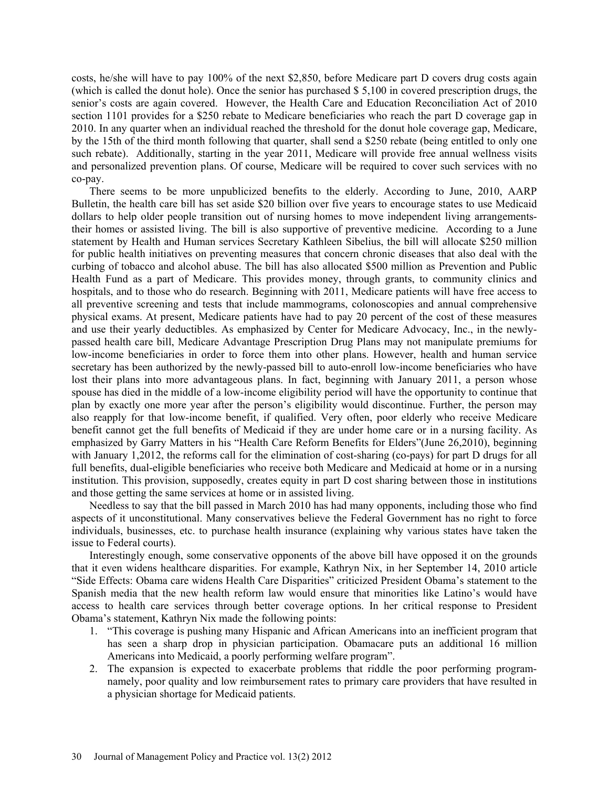costs, he/she will have to pay 100% of the next \$2,850, before Medicare part D covers drug costs again (which is called the donut hole). Once the senior has purchased \$ 5,100 in covered prescription drugs, the senior's costs are again covered. However, the Health Care and Education Reconciliation Act of 2010 section 1101 provides for a \$250 rebate to Medicare beneficiaries who reach the part D coverage gap in 2010. In any quarter when an individual reached the threshold for the donut hole coverage gap, Medicare, by the 15th of the third month following that quarter, shall send a \$250 rebate (being entitled to only one such rebate). Additionally, starting in the year 2011, Medicare will provide free annual wellness visits and personalized prevention plans. Of course, Medicare will be required to cover such services with no co-pay.

There seems to be more unpublicized benefits to the elderly. According to June, 2010, AARP Bulletin, the health care bill has set aside \$20 billion over five years to encourage states to use Medicaid dollars to help older people transition out of nursing homes to move independent living arrangementstheir homes or assisted living. The bill is also supportive of preventive medicine. According to a June statement by Health and Human services Secretary Kathleen Sibelius, the bill will allocate \$250 million for public health initiatives on preventing measures that concern chronic diseases that also deal with the curbing of tobacco and alcohol abuse. The bill has also allocated \$500 million as Prevention and Public Health Fund as a part of Medicare. This provides money, through grants, to community clinics and hospitals, and to those who do research. Beginning with 2011, Medicare patients will have free access to all preventive screening and tests that include mammograms, colonoscopies and annual comprehensive physical exams. At present, Medicare patients have had to pay 20 percent of the cost of these measures and use their yearly deductibles. As emphasized by Center for Medicare Advocacy, Inc., in the newlypassed health care bill, Medicare Advantage Prescription Drug Plans may not manipulate premiums for low-income beneficiaries in order to force them into other plans. However, health and human service secretary has been authorized by the newly-passed bill to auto-enroll low-income beneficiaries who have lost their plans into more advantageous plans. In fact, beginning with January 2011, a person whose spouse has died in the middle of a low-income eligibility period will have the opportunity to continue that plan by exactly one more year after the person's eligibility would discontinue. Further, the person may also reapply for that low-income benefit, if qualified. Very often, poor elderly who receive Medicare benefit cannot get the full benefits of Medicaid if they are under home care or in a nursing facility. As emphasized by Garry Matters in his "Health Care Reform Benefits for Elders"(June 26,2010), beginning with January 1,2012, the reforms call for the elimination of cost-sharing (co-pays) for part D drugs for all full benefits, dual-eligible beneficiaries who receive both Medicare and Medicaid at home or in a nursing institution. This provision, supposedly, creates equity in part D cost sharing between those in institutions and those getting the same services at home or in assisted living.

Needless to say that the bill passed in March 2010 has had many opponents, including those who find aspects of it unconstitutional. Many conservatives believe the Federal Government has no right to force individuals, businesses, etc. to purchase health insurance (explaining why various states have taken the issue to Federal courts).

Interestingly enough, some conservative opponents of the above bill have opposed it on the grounds that it even widens healthcare disparities. For example, Kathryn Nix, in her September 14, 2010 article "Side Effects: Obama care widens Health Care Disparities" criticized President Obama's statement to the Spanish media that the new health reform law would ensure that minorities like Latino's would have access to health care services through better coverage options. In her critical response to President Obama's statement, Kathryn Nix made the following points:

- 1. "This coverage is pushing many Hispanic and African Americans into an inefficient program that has seen a sharp drop in physician participation. Obamacare puts an additional 16 million Americans into Medicaid, a poorly performing welfare program".
- 2. The expansion is expected to exacerbate problems that riddle the poor performing programnamely, poor quality and low reimbursement rates to primary care providers that have resulted in a physician shortage for Medicaid patients.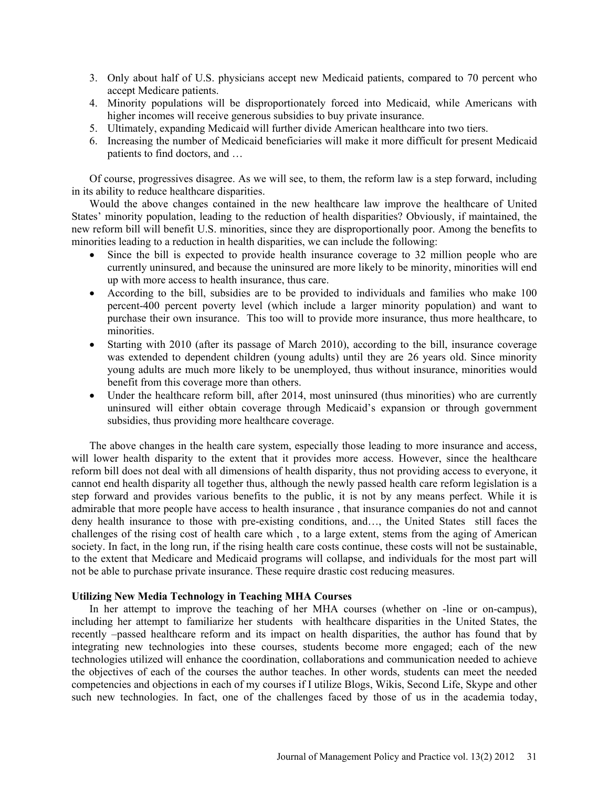- 3. Only about half of U.S. physicians accept new Medicaid patients, compared to 70 percent who accept Medicare patients.
- 4. Minority populations will be disproportionately forced into Medicaid, while Americans with higher incomes will receive generous subsidies to buy private insurance.
- 5. Ultimately, expanding Medicaid will further divide American healthcare into two tiers.
- 6. Increasing the number of Medicaid beneficiaries will make it more difficult for present Medicaid patients to find doctors, and …

Of course, progressives disagree. As we will see, to them, the reform law is a step forward, including in its ability to reduce healthcare disparities.

Would the above changes contained in the new healthcare law improve the healthcare of United States' minority population, leading to the reduction of health disparities? Obviously, if maintained, the new reform bill will benefit U.S. minorities, since they are disproportionally poor. Among the benefits to minorities leading to a reduction in health disparities, we can include the following:

- Since the bill is expected to provide health insurance coverage to 32 million people who are currently uninsured, and because the uninsured are more likely to be minority, minorities will end up with more access to health insurance, thus care.
- According to the bill, subsidies are to be provided to individuals and families who make 100 percent-400 percent poverty level (which include a larger minority population) and want to purchase their own insurance. This too will to provide more insurance, thus more healthcare, to minorities.
- Starting with 2010 (after its passage of March 2010), according to the bill, insurance coverage was extended to dependent children (young adults) until they are 26 years old. Since minority young adults are much more likely to be unemployed, thus without insurance, minorities would benefit from this coverage more than others.
- Under the healthcare reform bill, after 2014, most uninsured (thus minorities) who are currently uninsured will either obtain coverage through Medicaid's expansion or through government subsidies, thus providing more healthcare coverage.

The above changes in the health care system, especially those leading to more insurance and access, will lower health disparity to the extent that it provides more access. However, since the healthcare reform bill does not deal with all dimensions of health disparity, thus not providing access to everyone, it cannot end health disparity all together thus, although the newly passed health care reform legislation is a step forward and provides various benefits to the public, it is not by any means perfect. While it is admirable that more people have access to health insurance , that insurance companies do not and cannot deny health insurance to those with pre-existing conditions, and…, the United States still faces the challenges of the rising cost of health care which , to a large extent, stems from the aging of American society. In fact, in the long run, if the rising health care costs continue, these costs will not be sustainable, to the extent that Medicare and Medicaid programs will collapse, and individuals for the most part will not be able to purchase private insurance. These require drastic cost reducing measures.

## **Utilizing New Media Technology in Teaching MHA Courses**

In her attempt to improve the teaching of her MHA courses (whether on -line or on-campus), including her attempt to familiarize her students with healthcare disparities in the United States, the recently –passed healthcare reform and its impact on health disparities, the author has found that by integrating new technologies into these courses, students become more engaged; each of the new technologies utilized will enhance the coordination, collaborations and communication needed to achieve the objectives of each of the courses the author teaches. In other words, students can meet the needed competencies and objections in each of my courses if I utilize Blogs, Wikis, Second Life, Skype and other such new technologies. In fact, one of the challenges faced by those of us in the academia today,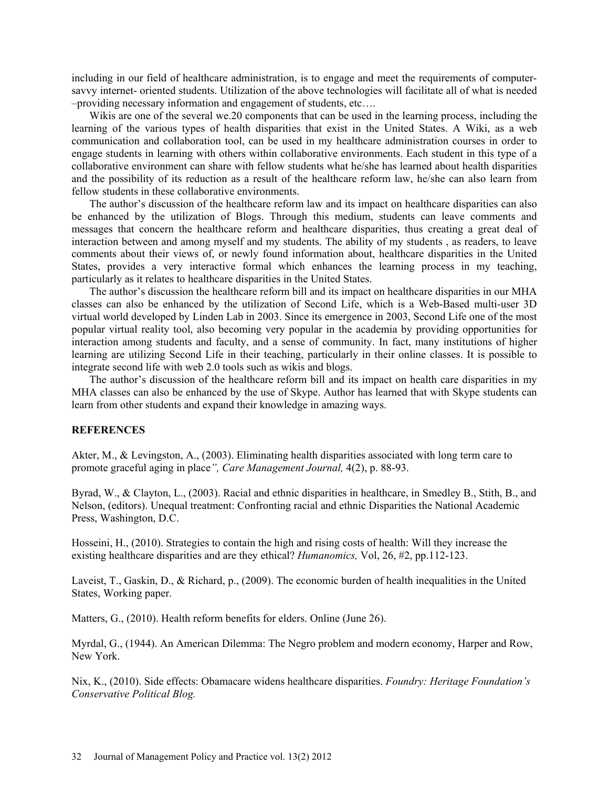including in our field of healthcare administration, is to engage and meet the requirements of computersavvy internet- oriented students. Utilization of the above technologies will facilitate all of what is needed –providing necessary information and engagement of students, etc….

Wikis are one of the several we.20 components that can be used in the learning process, including the learning of the various types of health disparities that exist in the United States. A Wiki, as a web communication and collaboration tool, can be used in my healthcare administration courses in order to engage students in learning with others within collaborative environments. Each student in this type of a collaborative environment can share with fellow students what he/she has learned about health disparities and the possibility of its reduction as a result of the healthcare reform law, he/she can also learn from fellow students in these collaborative environments.

The author's discussion of the healthcare reform law and its impact on healthcare disparities can also be enhanced by the utilization of Blogs. Through this medium, students can leave comments and messages that concern the healthcare reform and healthcare disparities, thus creating a great deal of interaction between and among myself and my students. The ability of my students , as readers, to leave comments about their views of, or newly found information about, healthcare disparities in the United States, provides a very interactive formal which enhances the learning process in my teaching, particularly as it relates to healthcare disparities in the United States.

The author's discussion the healthcare reform bill and its impact on healthcare disparities in our MHA classes can also be enhanced by the utilization of Second Life, which is a Web-Based multi-user 3D virtual world developed by Linden Lab in 2003. Since its emergence in 2003, Second Life one of the most popular virtual reality tool, also becoming very popular in the academia by providing opportunities for interaction among students and faculty, and a sense of community. In fact, many institutions of higher learning are utilizing Second Life in their teaching, particularly in their online classes. It is possible to integrate second life with web 2.0 tools such as wikis and blogs.

The author's discussion of the healthcare reform bill and its impact on health care disparities in my MHA classes can also be enhanced by the use of Skype. Author has learned that with Skype students can learn from other students and expand their knowledge in amazing ways.

## **REFERENCES**

Akter, M., & Levingston, A., (2003). Eliminating health disparities associated with long term care to promote graceful aging in place*", Care Management Journal,* 4(2), p. 88-93.

Byrad, W., & Clayton, L., (2003). Racial and ethnic disparities in healthcare, in Smedley B., Stith, B., and Nelson, (editors). Unequal treatment: Confronting racial and ethnic Disparities the National Academic Press, Washington, D.C.

Hosseini, H., (2010). Strategies to contain the high and rising costs of health: Will they increase the existing healthcare disparities and are they ethical? *Humanomics,* Vol, 26, #2, pp.112-123.

Laveist, T., Gaskin, D., & Richard, p., (2009). The economic burden of health inequalities in the United States, Working paper.

Matters, G., (2010). Health reform benefits for elders. Online (June 26).

Myrdal, G., (1944). An American Dilemma: The Negro problem and modern economy, Harper and Row, New York.

Nix, K., (2010). Side effects: Obamacare widens healthcare disparities. *Foundry: Heritage Foundation's Conservative Political Blog.*